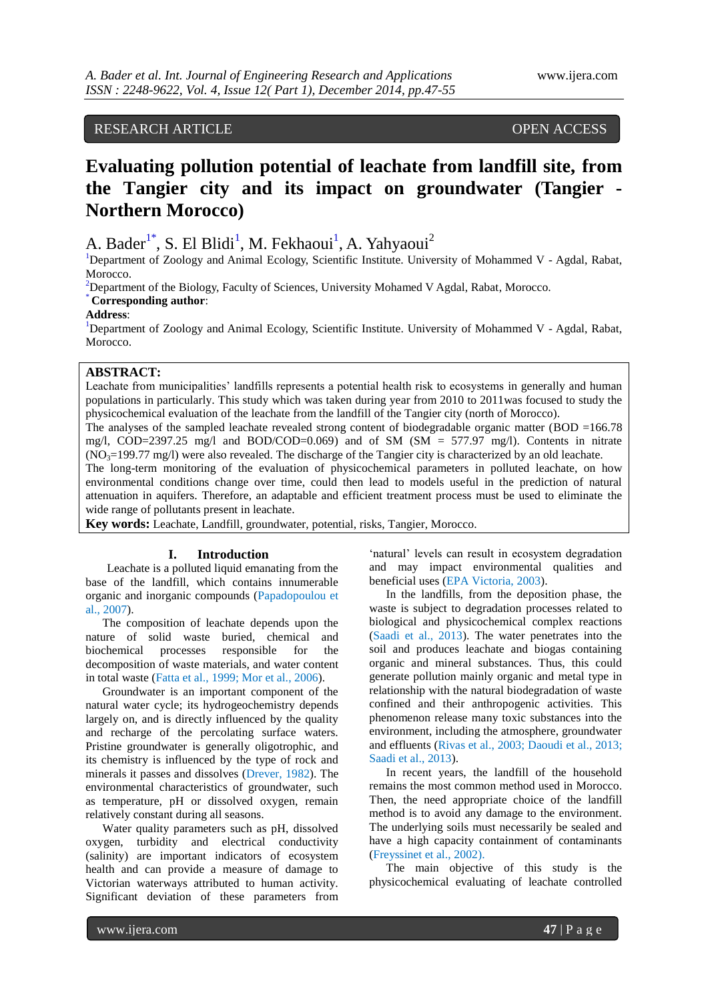# RESEARCH ARTICLE OPEN ACCESS

# **Evaluating pollution potential of leachate from landfill site, from the Tangier city and its impact on groundwater (Tangier - Northern Morocco)**

A. Bader<sup>1\*</sup>, S. El Blidi<sup>1</sup>, M. Fekhaoui<sup>1</sup>, A. Yahyaoui<sup>2</sup>

<sup>1</sup>Department of Zoology and Animal Ecology, Scientific Institute. University of Mohammed V - Agdal, Rabat, Morocco.

 $2$ Department of the Biology, Faculty of Sciences, University Mohamed V Agdal, Rabat, Morocco.

# \* **Corresponding author**:

#### **Address**:

<sup>1</sup>Department of Zoology and Animal Ecology, Scientific Institute. University of Mohammed V - Agdal, Rabat, Morocco.

### **ABSTRACT:**

Leachate from municipalities' landfills represents a potential health risk to ecosystems in generally and human populations in particularly. This study which was taken during year from 2010 to 2011was focused to study the physicochemical evaluation of the leachate from the landfill of the Tangier city (north of Morocco).

The analyses of the sampled leachate revealed strong content of biodegradable organic matter ( $BOD = 166.78$ ) mg/l, COD=2397.25 mg/l and BOD/COD=0.069) and of SM (SM = 577.97 mg/l). Contents in nitrate  $(NO<sub>3</sub>=199.77$  mg/l) were also revealed. The discharge of the Tangier city is characterized by an old leachate. The long-term monitoring of the evaluation of physicochemical parameters in polluted leachate, on how environmental conditions change over time, could then lead to models useful in the prediction of natural attenuation in aquifers. Therefore, an adaptable and efficient treatment process must be used to eliminate the wide range of pollutants present in leachate.

**Key words:** Leachate, Landfill, groundwater, potential, risks, Tangier, Morocco.

#### **I. Introduction**

Leachate is a polluted liquid emanating from the base of the landfill, which contains innumerable organic and inorganic compounds (Papadopoulou et al., 2007).

The composition of leachate depends upon the nature of solid waste buried, chemical and biochemical processes responsible for the decomposition of waste materials, and water content in total waste (Fatta et al., 1999; Mor et al., 2006).

Groundwater is an important component of the natural water cycle; its hydrogeochemistry depends largely on, and is directly influenced by the quality and recharge of the percolating surface waters. Pristine groundwater is generally oligotrophic, and its chemistry is influenced by the type of rock and minerals it passes and dissolves (Drever, 1982). The environmental characteristics of groundwater, such as temperature, pH or dissolved oxygen, remain relatively constant during all seasons.

Water quality parameters such as pH, dissolved oxygen, turbidity and electrical conductivity (salinity) are important indicators of ecosystem health and can provide a measure of damage to Victorian waterways attributed to human activity. Significant deviation of these parameters from

'natural' levels can result in ecosystem degradation and may impact environmental qualities and beneficial uses (EPA Victoria, 2003).

In the landfills, from the deposition phase, the waste is subject to degradation processes related to biological and physicochemical complex reactions (Saadi et al., 2013). The water penetrates into the soil and produces leachate and biogas containing organic and mineral substances. Thus, this could generate pollution mainly organic and metal type in relationship with the natural biodegradation of waste confined and their anthropogenic activities. This phenomenon release many toxic substances into the environment, including the atmosphere, groundwater and effluents [\(Rivas](http://www.sciencedirect.com/science/article/pii/S0043135403004652) et al., 2003; Daoudi et al., 2013; Saadi et al., 2013).

In recent years, the landfill of the household remains the most common method used in Morocco. Then, the need appropriate choice of the landfill method is to avoid any damage to the environment. The underlying soils must necessarily be sealed and have a high capacity containment of contaminants [\(Freyssinet](http://www.sciencedirect.com/science/article/pii/S0956053X01000654) et al., 2002).

The main objective of this study is the physicochemical evaluating of leachate controlled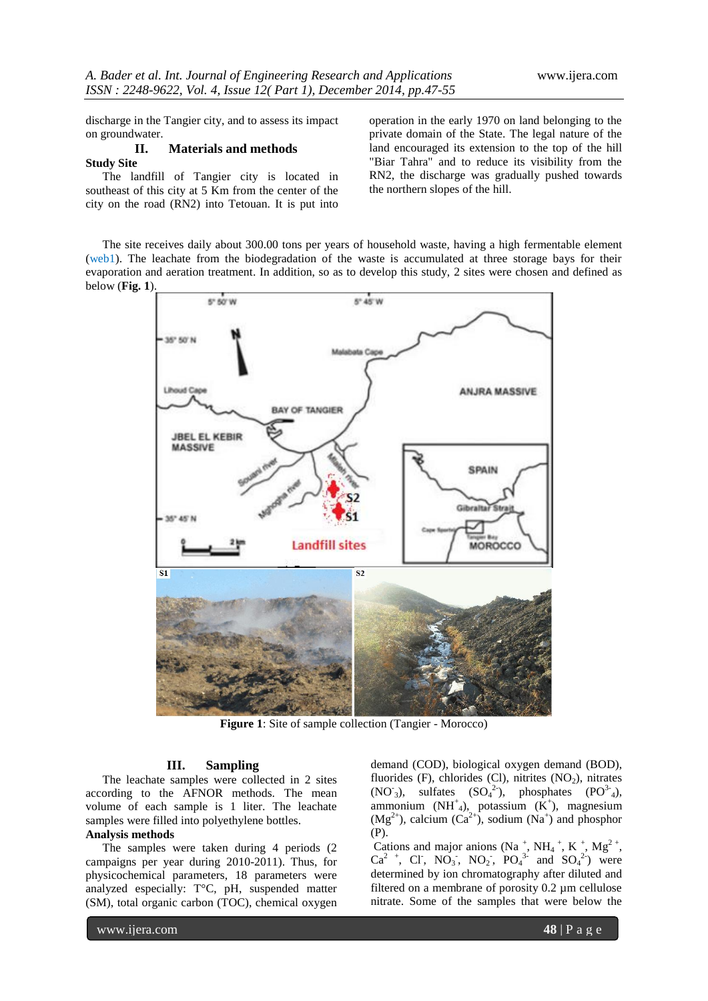discharge in the Tangier city, and to assess its impact on groundwater.

#### **II. Materials and methods Study Site**

The landfill of Tangier city is located in southeast of this city at 5 Km from the center of the city on the road (RN2) into Tetouan. It is put into operation in the early 1970 on land belonging to the private domain of the State. The legal nature of the land encouraged its extension to the top of the hill "Biar Tahra" and to reduce its visibility from the RN2, the discharge was gradually pushed towards the northern slopes of the hill.

The site receives daily about 300.00 tons per years of household waste, having a high fermentable element (web1). The leachate from the biodegradation of the waste is accumulated at three storage bays for their evaporation and aeration treatment. In addition, so as to develop this study, 2 sites were chosen and defined as below (**Fig. 1**).



**Figure 1**: Site of sample collection (Tangier - Morocco)

### **III. Sampling**

The leachate samples were collected in 2 sites according to the AFNOR methods. The mean volume of each sample is 1 liter. The leachate samples were filled into polyethylene bottles.

#### **Analysis methods**

The samples were taken during 4 periods (2 campaigns per year during 2010-2011). Thus, for physicochemical parameters, 18 parameters were analyzed especially: T°C, pH, suspended matter (SM), total organic carbon (TOC), chemical oxygen demand (COD), biological oxygen demand (BOD), fluorides (F), chlorides (Cl), nitrites  $(NO<sub>2</sub>)$ , nitrates  $(NO<sub>3</sub>), \quad \text{sulfates} \quad (SO<sub>4</sub><sup>2</sup>), \quad \text{phosphates} \quad (PO<sub>3</sub><sup>3</sup>),$ ammonium  $(NH^{\dagger}_{4})$ , potassium  $(K^{\dagger})$ , magnesium  $(Mg<sup>2+</sup>)$ , calcium  $(Ca<sup>2+</sup>)$ , sodium  $(Na<sup>+</sup>)$  and phosphor (P).

Cations and major anions (Na<sup>+</sup>, NH<sub>4</sub><sup>+</sup>, K<sup>+</sup>, Mg<sup>2+</sup>,  $Ca^{2}$  +, Cl, NO<sub>3</sub>, NO<sub>2</sub>, PO<sub>4</sub><sup>3</sup> and SO<sub>4</sub><sup>2</sup>) were determined by ion chromatography after diluted and filtered on a membrane of porosity 0.2 µm cellulose nitrate. Some of the samples that were below the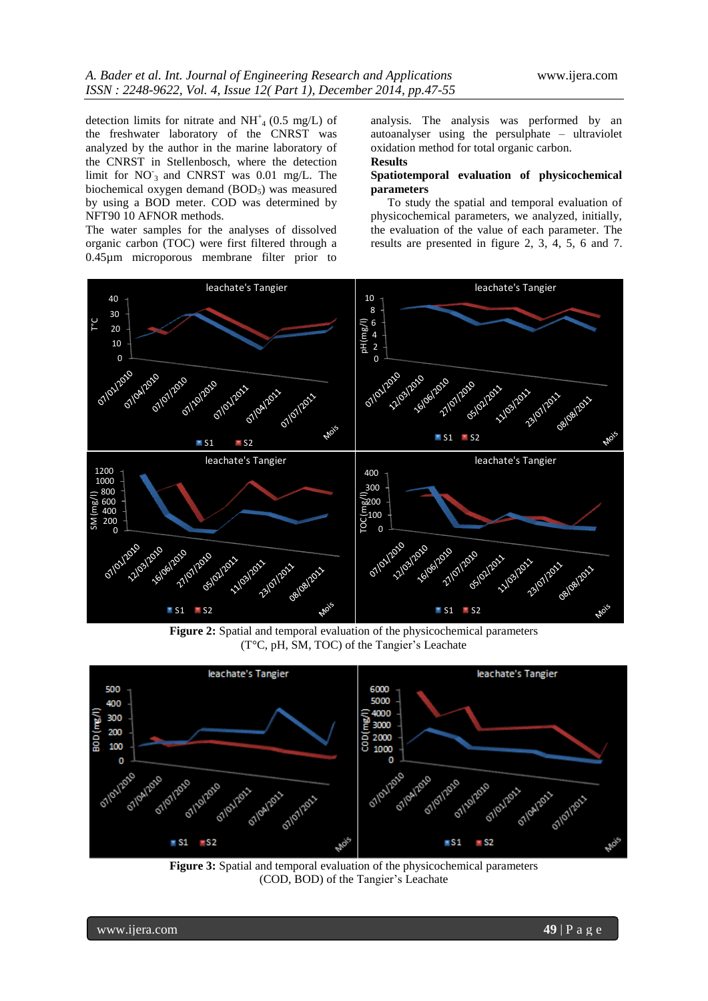detection limits for nitrate and  $NH<sup>+</sup><sub>4</sub>$  (0.5 mg/L) of the freshwater laboratory of the CNRST was analyzed by the author in the marine laboratory of the CNRST in Stellenbosch, where the detection limit for  $NO_3$  and CNRST was 0.01 mg/L. The biochemical oxygen demand (BOD<sub>5</sub>) was measured by using a BOD meter. COD was determined by NFT90 10 AFNOR methods.

The water samples for the analyses of dissolved organic carbon (TOC) were first filtered through a 0.45µm microporous membrane filter prior to

analysis. The analysis was performed by an autoanalyser using the persulphate – ultraviolet oxidation method for total organic carbon. **Results**

#### **Spatiotemporal evaluation of physicochemical parameters**

To study the spatial and temporal evaluation of physicochemical parameters, we analyzed, initially, the evaluation of the value of each parameter. The results are presented in figure 2, 3, 4, 5, 6 and 7.



**Figure 2:** Spatial and temporal evaluation of the physicochemical parameters (T°C, pH, SM, TOC) of the Tangier's Leachate



**Figure 3:** Spatial and temporal evaluation of the physicochemical parameters (COD, BOD) of the Tangier's Leachate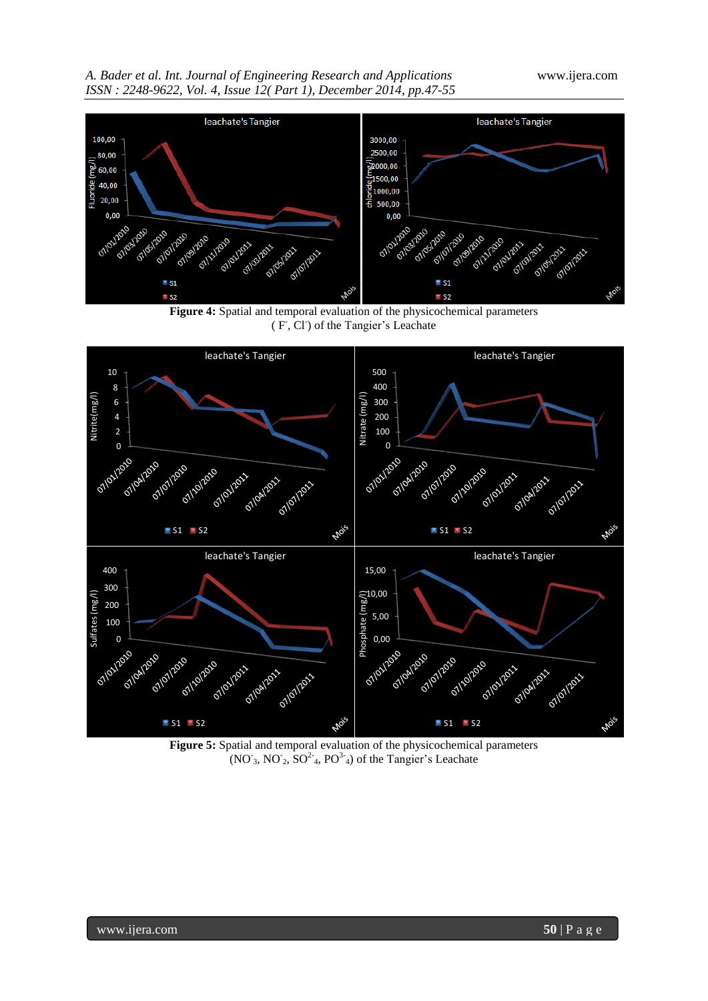



**Figure 4:** Spatial and temporal evaluation of the physicochemical parameters (F, Cl) of the Tangier's Leachate



**Figure 5:** Spatial and temporal evaluation of the physicochemical parameters  $(NO<sub>3</sub>, NO<sub>2</sub>, SO<sup>2</sup><sub>4</sub>, PO<sup>3</sup><sub>4</sub>)$  of the Tangier's Leachate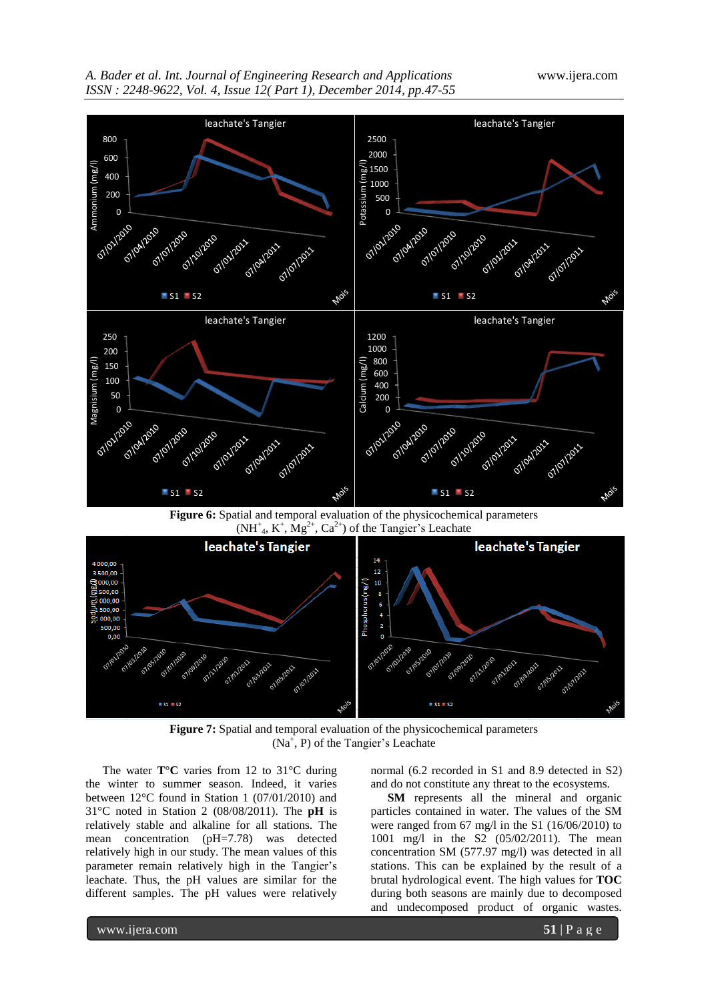



**Figure 6:** Spatial and temporal evaluation of the physicochemical parameters  $(NH^{\dagger}_{4}$ ,  $K^{\dagger}$ ,  $Mg^{2+}$ ,  $Ca^{2+}$ ) of the Tangier's Leachate



**Figure 7:** Spatial and temporal evaluation of the physicochemical parameters  $(Na^+, P)$  of the Tangier's Leachate

The water **T°C** varies from 12 to 31°C during the winter to summer season. Indeed, it varies between 12°C found in Station 1 (07/01/2010) and 31°C noted in Station 2 (08/08/2011). The **pH** is relatively stable and alkaline for all stations. The mean concentration (pH=7.78) was detected relatively high in our study. The mean values of this parameter remain relatively high in the Tangier's leachate. Thus, the pH values are similar for the different samples. The pH values were relatively normal (6.2 recorded in S1 and 8.9 detected in S2) and do not constitute any threat to the ecosystems.

**SM** represents all the mineral and organic particles contained in water. The values of the SM were ranged from 67 mg/l in the S1 (16/06/2010) to 1001 mg/l in the S2 (05/02/2011). The mean concentration SM (577.97 mg/l) was detected in all stations. This can be explained by the result of a brutal hydrological event. The high values for **TOC** during both seasons are mainly due to decomposed and undecomposed product of organic wastes.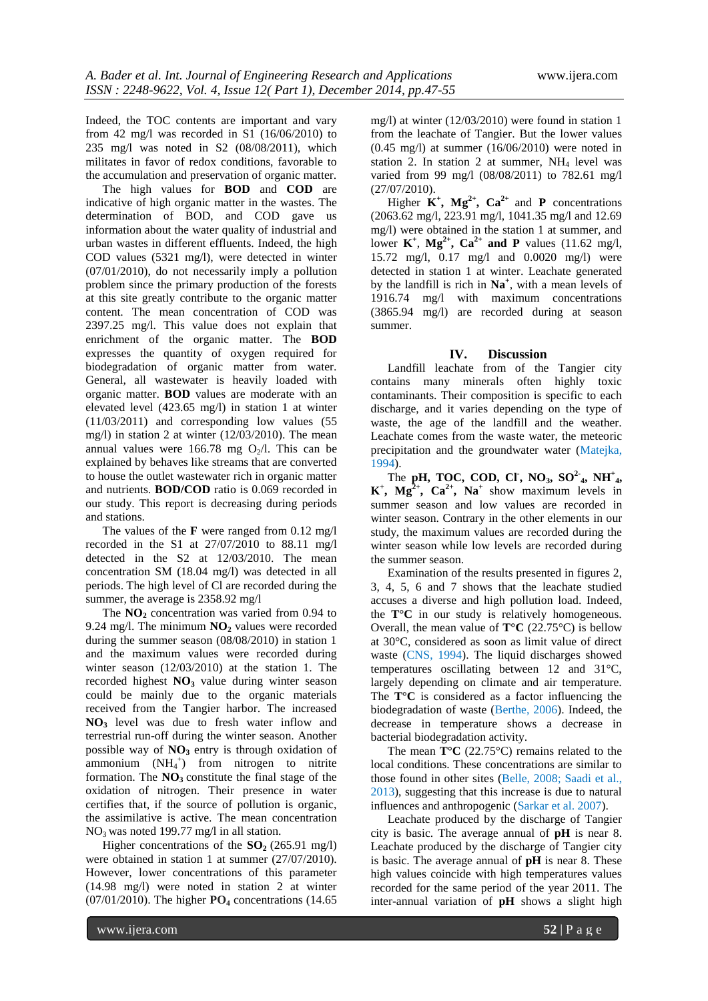Indeed, the TOC contents are important and vary from 42 mg/l was recorded in S1  $(16/06/2010)$  to 235 mg/l was noted in S2 (08/08/2011), which militates in favor of redox conditions, favorable to the accumulation and preservation of organic matter.

The high values for **BOD** and **COD** are indicative of high organic matter in the wastes. The determination of BOD, and COD gave us information about the water quality of industrial and urban wastes in different effluents. Indeed, the high COD values (5321 mg/l), were detected in winter (07/01/2010), do not necessarily imply a pollution problem since the primary production of the forests at this site greatly contribute to the organic matter content. The mean concentration of COD was 2397.25 mg/l. This value does not explain that enrichment of the organic matter. The **BOD** expresses the quantity of oxygen required for biodegradation of organic matter from water. General, all wastewater is heavily loaded with organic matter. **BOD** values are moderate with an elevated level (423.65 mg/l) in station 1 at winter (11/03/2011) and corresponding low values (55 mg/l) in station 2 at winter (12/03/2010). The mean annual values were 166.78 mg  $O_2/l$ . This can be explained by behaves like streams that are converted to house the outlet wastewater rich in organic matter and nutrients. **BOD/COD** ratio is 0.069 recorded in our study. This report is decreasing during periods and stations.

The values of the **F** were ranged from 0.12 mg/l recorded in the S1 at 27/07/2010 to 88.11 mg/l detected in the S2 at 12/03/2010. The mean concentration SM (18.04 mg/l) was detected in all periods. The high level of Cl are recorded during the summer, the average is 2358.92 mg/l

The **NO**<sub>2</sub> concentration was varied from 0.94 to 9.24 mg/l. The minimum **NO<sup>2</sup>** values were recorded during the summer season (08/08/2010) in station 1 and the maximum values were recorded during winter season (12/03/2010) at the station 1. The recorded highest **NO<sup>3</sup>** value during winter season could be mainly due to the organic materials received from the Tangier harbor. The increased **NO<sup>3</sup>** level was due to fresh water inflow and terrestrial run-off during the winter season. Another possible way of **NO<sup>3</sup>** entry is through oxidation of  $ammonium$   $(NH<sub>4</sub><sup>+</sup>)$  from nitrogen to nitrite formation. The  $NO<sub>3</sub>$  constitute the final stage of the oxidation of nitrogen. Their presence in water certifies that, if the source of pollution is organic, the assimilative is active. The mean concentration NO3 was noted 199.77 mg/l in all station.

Higher concentrations of the  $SO<sub>2</sub>$  (265.91 mg/l) were obtained in station 1 at summer (27/07/2010). However, lower concentrations of this parameter (14.98 mg/l) were noted in station 2 at winter (07/01/2010). The higher **PO<sup>4</sup>** concentrations (14.65 mg/l) at winter (12/03/2010) were found in station 1 from the leachate of Tangier. But the lower values (0.45 mg/l) at summer (16/06/2010) were noted in station 2. In station 2 at summer,  $NH<sub>4</sub>$  level was varied from 99 mg/l (08/08/2011) to 782.61 mg/l (27/07/2010).

Higher  $K^+$ ,  $Mg^{2+}$ ,  $Ca^{2+}$  and **P** concentrations (2063.62 mg/l, 223.91 mg/l, 1041.35 mg/l and 12.69 mg/l) were obtained in the station 1 at summer, and lower  $K^+$ ,  $Mg^{2+}$ ,  $Ca^{2+}$  and P values (11.62 mg/l, 15.72 mg/l, 0.17 mg/l and 0.0020 mg/l) were detected in station 1 at winter. Leachate generated by the landfill is rich in **Na<sup>+</sup>** , with a mean levels of 1916.74 mg/l with maximum concentrations (3865.94 mg/l) are recorded during at season summer.

#### **IV. Discussion**

Landfill leachate from of the Tangier city contains many minerals often highly toxic contaminants. Their composition is specific to each discharge, and it varies depending on the type of waste, the age of the landfill and the weather. Leachate comes from the waste water, the meteoric precipitation and the groundwater water (Matejka, 1994).

The **pH**, **TOC**, **COD**, **CI**, **NO**<sub>3</sub>, **SO**<sup>2</sup><sub>4</sub>, **NH**<sup>+</sup><sub>4</sub>,  $K^+$ ,  $Mg^{2+}$ ,  $Ca^{2+}$ ,  $Na^+$  show maximum levels in summer season and low values are recorded in winter season. Contrary in the other elements in our study, the maximum values are recorded during the winter season while low levels are recorded during the summer season.

Examination of the results presented in figures 2, 3, 4, 5, 6 and 7 shows that the leachate studied accuses a diverse and high pollution load. Indeed, the **T°C** in our study is relatively homogeneous. Overall, the mean value of  $T^{\circ}C$  (22.75<sup> $\circ$ </sup>C) is bellow at 30°C, considered as soon as limit value of direct waste (CNS, 1994). The liquid discharges showed temperatures oscillating between 12 and 31°C, largely depending on climate and air temperature. The **T°C** is considered as a factor influencing the biodegradation of waste (Berthe, 2006). Indeed, the decrease in temperature shows a decrease in bacterial biodegradation activity.

The mean **T°C** (22.75°C) remains related to the local conditions. These concentrations are similar to those found in other sites (Belle, 2008; Saadi et al., 2013), suggesting that this increase is due to natural influences and anthropogenic (Sarkar et al. 2007).

Leachate produced by the discharge of Tangier city is basic. The average annual of **pH** is near 8. Leachate produced by the discharge of Tangier city is basic. The average annual of **pH** is near 8. These high values coincide with high temperatures values recorded for the same period of the year 2011. The inter-annual variation of **pH** shows a slight high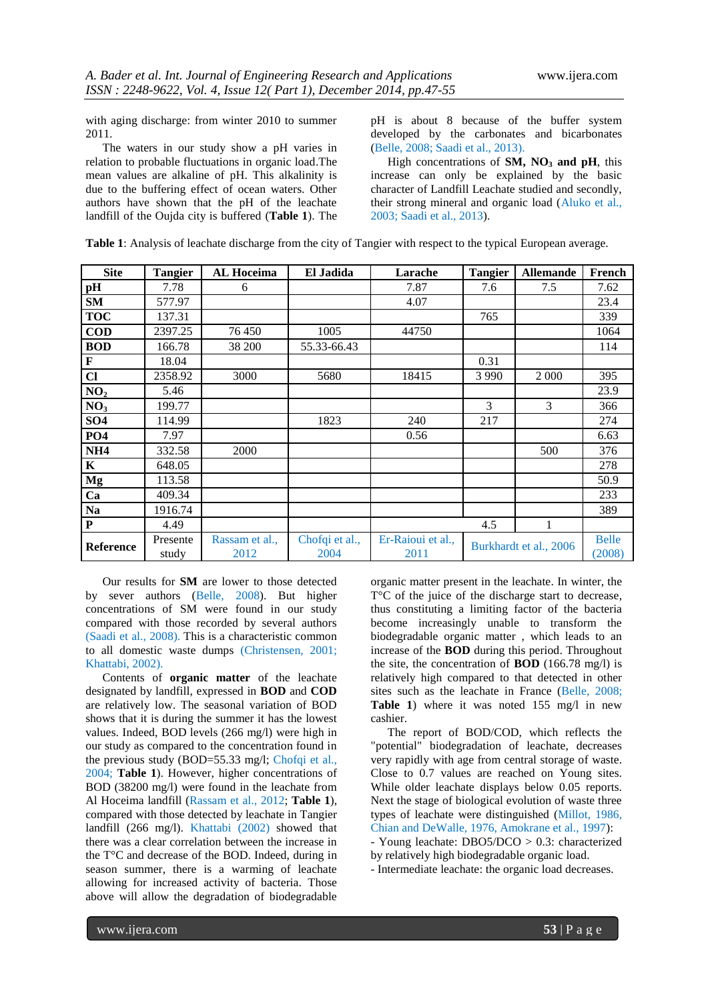with aging discharge: from winter 2010 to summer 2011.

The waters in our study show a pH varies in relation to probable fluctuations in organic load.The mean values are alkaline of pH. This alkalinity is due to the buffering effect of ocean waters. Other authors have shown that the pH of the leachate landfill of the Oujda city is buffered (**Table 1**). The

pH is about 8 because of the buffer system developed by the carbonates and bicarbonates (Belle, 2008; Saadi et al., 2013).

High concentrations of **SM, NO<sup>3</sup> and pH**, this increase can only be explained by the basic character of Landfill Leachate studied and secondly, their strong mineral and organic load (Aluko et al., 2003; Saadi et al., 2013).

| <b>Site</b>      | <b>Tangier</b> | <b>AL Hoceima</b> | El Jadida   | Larache | <b>Tangier</b> | <b>Allemande</b> | French |
|------------------|----------------|-------------------|-------------|---------|----------------|------------------|--------|
| pH               | 7.78           | O                 |             | 7.87    | 7.6            | 7.5              | 7.62   |
| <b>SM</b>        | 577.97         |                   |             | 4.07    |                |                  | 23.4   |
| <b>TOC</b>       | 137.31         |                   |             |         | 765            |                  | 339    |
| $\overline{$ COD | 2397.25        | 76 450            | 1005        | 44750   |                |                  | 1064   |
| <b>BOD</b>       | 166.78         | 38 200            | 55.33-66.43 |         |                |                  | 114    |
| l F              | 18.04          |                   |             |         | 0.31           |                  |        |

**Cl** 2358.92 3000 5680 18415 3990 2000 395 **NO<sub>2</sub>** 5.46 23.9 **NO<sub>3</sub>** 199.77 3 366 **SO4** | 114.99 | 1823 | 240 | 217 | 274 **PO4** 7.97 | | 0.56 | 6.63 **NH4** | 332.58 | 2000 | | | | | | | | | 500 | 376 **K** 648.05 **648.05 Mg** 113.58  $\vert$  50.9 **Ca** 409.34 233 **Na** 1916.74 389

**P** 4.49 4.49 4.5 1

Chofqi et al., 2004

Er-Raioui et al.,

|  |  |  | Table 1: Analysis of leachate discharge from the city of Tangier with respect to the typical European average |  |
|--|--|--|---------------------------------------------------------------------------------------------------------------|--|
|  |  |  |                                                                                                               |  |

Our results for **SM** are lower to those detected by sever authors (Belle, 2008). But higher concentrations of SM were found in our study compared with those recorded by several authors (Saadi et al., 2008). This is a characteristic common to all domestic waste dumps (Christensen, 2001; Khattabi, 2002).

Rassam et al., 2012

Contents of **organic matter** of the leachate designated by landfill, expressed in **BOD** and **COD** are relatively low. The seasonal variation of BOD shows that it is during the summer it has the lowest values. Indeed, BOD levels (266 mg/l) were high in our study as compared to the concentration found in the previous study (BOD=55.33 mg/l; Chofqi et al., 2004; **Table 1**). However, higher concentrations of BOD (38200 mg/l) were found in the leachate from Al Hoceima landfill (Rassam et al., 2012; **Table 1**), compared with those detected by leachate in Tangier landfill (266 mg/l). Khattabi (2002) showed that there was a clear correlation between the increase in the T°C and decrease of the BOD. Indeed, during in season summer, there is a warming of leachate allowing for increased activity of bacteria. Those above will allow the degradation of biodegradable

organic matter present in the leachate. In winter, the T<sup>o</sup>C of the juice of the discharge start to decrease, thus constituting a limiting factor of the bacteria become increasingly unable to transform the biodegradable organic matter , which leads to an increase of the **BOD** during this period. Throughout the site, the concentration of **BOD** (166.78 mg/l) is relatively high compared to that detected in other sites such as the leachate in France (Belle, 2008; Table 1) where it was noted 155 mg/l in new cashier.

 $\begin{array}{c|c}\n\text{a} \text{i} \text{i} \text{i} \text{e} \text{d} \text{ii}, \text{b} \text{i}\n\end{array}$  Belle<br>  $\begin{array}{c}\n\text{B} \text{e} \text{i} \text{e} \text{d} \text{ii} \text{e} \text{d} \text{ii} \text{e} \text{d} \text{ii} \text{e} \text{d} \text{ii} \text{e} \text{d} \text{iii} \text{e} \text{d} \text{iii} \text{e} \text{d} \text{iii} \text{e} \text{d} \text{iii} \text{e} \$ 

(2008)

The report of BOD/COD, which reflects the "potential" biodegradation of leachate, decreases very rapidly with age from central storage of waste. Close to 0.7 values are reached on Young sites. While older leachate displays below 0.05 reports. Next the stage of biological evolution of waste three types of leachate were distinguished (Millot, 1986, Chian and DeWalle, 1976, Amokrane et al., 1997):

- Young leachate: DBO5/DCO > 0.3: characterized by relatively high biodegradable organic load.

- Intermediate leachate: the organic load decreases.

**Reference** Presente

study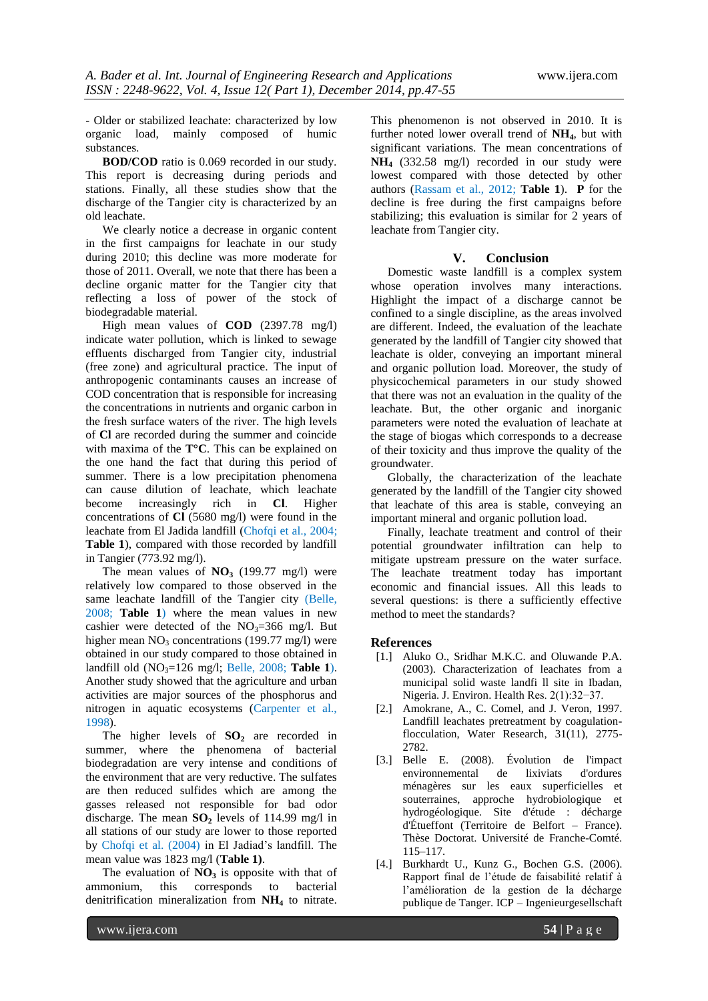- Older or stabilized leachate: characterized by low organic load, mainly composed of humic substances.

**BOD/COD** ratio is 0.069 recorded in our study. This report is decreasing during periods and stations. Finally, all these studies show that the discharge of the Tangier city is characterized by an old leachate.

We clearly notice a decrease in organic content in the first campaigns for leachate in our study during 2010; this decline was more moderate for those of 2011. Overall, we note that there has been a decline organic matter for the Tangier city that reflecting a loss of power of the stock of biodegradable material.

High mean values of **COD** (2397.78 mg/l) indicate water pollution, which is linked to sewage effluents discharged from Tangier city, industrial (free zone) and agricultural practice. The input of anthropogenic contaminants causes an increase of COD concentration that is responsible for increasing the concentrations in nutrients and organic carbon in the fresh surface waters of the river. The high levels of **Cl** are recorded during the summer and coincide with maxima of the **T°C**. This can be explained on the one hand the fact that during this period of summer. There is a low precipitation phenomena can cause dilution of leachate, which leachate become increasingly rich in **Cl**. Higher concentrations of **Cl** (5680 mg/l) were found in the leachate from El Jadida landfill (Chofqi et al., 2004; **Table 1**), compared with those recorded by landfill in Tangier (773.92 mg/l).

The mean values of  $NO<sub>3</sub>$  (199.77 mg/l) were relatively low compared to those observed in the same leachate landfill of the Tangier city (Belle, 2008; **Table 1**) where the mean values in new cashier were detected of the  $NO<sub>3</sub>=366$  mg/l. But higher mean  $NO_3$  concentrations (199.77 mg/l) were obtained in our study compared to those obtained in landfill old  $(NO<sub>3</sub>=126$  mg/l; Belle, 2008; **Table 1**). Another study showed that the agriculture and urban activities are major sources of the phosphorus and nitrogen in aquatic ecosystems (Carpenter et al., 1998).

The higher levels of **SO<sup>2</sup>** are recorded in summer, where the phenomena of bacterial biodegradation are very intense and conditions of the environment that are very reductive. The sulfates are then reduced sulfides which are among the gasses released not responsible for bad odor discharge. The mean  $SO_2$  levels of 114.99 mg/l in all stations of our study are lower to those reported by Chofqi et al. (2004) in El Jadiad's landfill. The mean value was 1823 mg/l (**Table 1)**.

The evaluation of  $NO<sub>3</sub>$  is opposite with that of ammonium, this corresponds to bacterial denitrification mineralization from **NH<sup>4</sup>** to nitrate.

This phenomenon is not observed in 2010. It is further noted lower overall trend of **NH4**, but with significant variations. The mean concentrations of **NH<sup>4</sup>** (332.58 mg/l) recorded in our study were lowest compared with those detected by other authors (Rassam et al., 2012; **Table 1**). **P** for the decline is free during the first campaigns before stabilizing; this evaluation is similar for 2 years of leachate from Tangier city.

#### **V. Conclusion**

Domestic waste landfill is a complex system whose operation involves many interactions. Highlight the impact of a discharge cannot be confined to a single discipline, as the areas involved are different. Indeed, the evaluation of the leachate generated by the landfill of Tangier city showed that leachate is older, conveying an important mineral and organic pollution load. Moreover, the study of physicochemical parameters in our study showed that there was not an evaluation in the quality of the leachate. But, the other organic and inorganic parameters were noted the evaluation of leachate at the stage of biogas which corresponds to a decrease of their toxicity and thus improve the quality of the groundwater.

Globally, the characterization of the leachate generated by the landfill of the Tangier city showed that leachate of this area is stable, conveying an important mineral and organic pollution load.

Finally, leachate treatment and control of their potential groundwater infiltration can help to mitigate upstream pressure on the water surface. The leachate treatment today has important economic and financial issues. All this leads to several questions: is there a sufficiently effective method to meet the standards?

#### **References**

- [1.] Aluko O., Sridhar M.K.C. and Oluwande P.A. (2003). Characterization of leachates from a municipal solid waste landfi ll site in Ibadan, Nigeria. J. Environ. Health Res. 2(1):32−37.
- [2.] Amokrane, A., C. Comel, and J. Veron, 1997. Landfill leachates pretreatment by coagulationflocculation, Water Research, 31(11), 2775- 2782.
- [3.] Belle E. (2008). Évolution de l'impact environnemental de lixiviats d'ordures ménagères sur les eaux superficielles et souterraines, approche hydrobiologique et hydrogéologique. Site d'étude : décharge d'Étueffont (Territoire de Belfort – France). Thèse Doctorat. Université de Franche-Comté. 115–117.
- [4.] Burkhardt U., Kunz G., Bochen G.S. (2006). Rapport final de l'étude de faisabilité relatif à l'amélioration de la gestion de la décharge publique de Tanger. ICP – Ingenieurgesellschaft